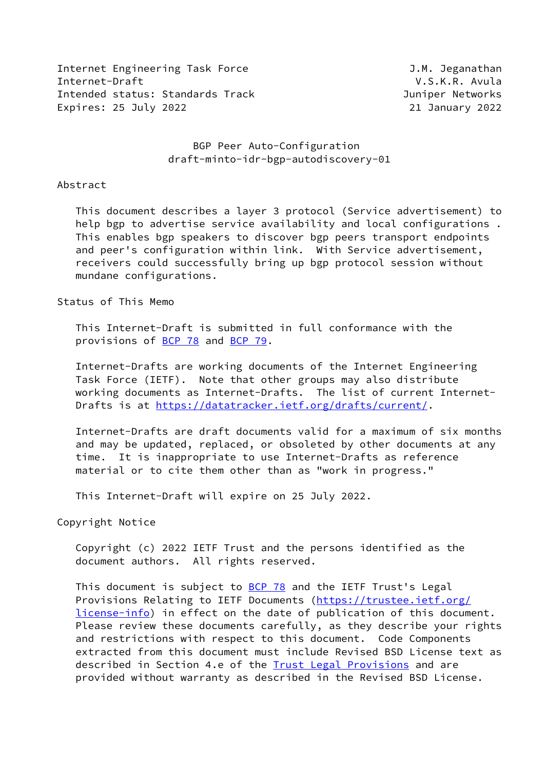Internet Engineering Task Force **Galacies** J.M. Jeganathan Internet-Draft V.S.K.R. Avula Intended status: Standards Track Juniper Networks Expires: 25 July 2022 21 January 2022

# BGP Peer Auto-Configuration draft-minto-idr-bgp-autodiscovery-01

#### Abstract

 This document describes a layer 3 protocol (Service advertisement) to help bgp to advertise service availability and local configurations . This enables bgp speakers to discover bgp peers transport endpoints and peer's configuration within link. With Service advertisement, receivers could successfully bring up bgp protocol session without mundane configurations.

Status of This Memo

 This Internet-Draft is submitted in full conformance with the provisions of [BCP 78](https://datatracker.ietf.org/doc/pdf/bcp78) and [BCP 79](https://datatracker.ietf.org/doc/pdf/bcp79).

 Internet-Drafts are working documents of the Internet Engineering Task Force (IETF). Note that other groups may also distribute working documents as Internet-Drafts. The list of current Internet- Drafts is at<https://datatracker.ietf.org/drafts/current/>.

 Internet-Drafts are draft documents valid for a maximum of six months and may be updated, replaced, or obsoleted by other documents at any time. It is inappropriate to use Internet-Drafts as reference material or to cite them other than as "work in progress."

This Internet-Draft will expire on 25 July 2022.

Copyright Notice

 Copyright (c) 2022 IETF Trust and the persons identified as the document authors. All rights reserved.

This document is subject to [BCP 78](https://datatracker.ietf.org/doc/pdf/bcp78) and the IETF Trust's Legal Provisions Relating to IETF Documents ([https://trustee.ietf.org/](https://trustee.ietf.org/license-info) [license-info](https://trustee.ietf.org/license-info)) in effect on the date of publication of this document. Please review these documents carefully, as they describe your rights and restrictions with respect to this document. Code Components extracted from this document must include Revised BSD License text as described in Section 4.e of the **Trust Legal Provisions** and are provided without warranty as described in the Revised BSD License.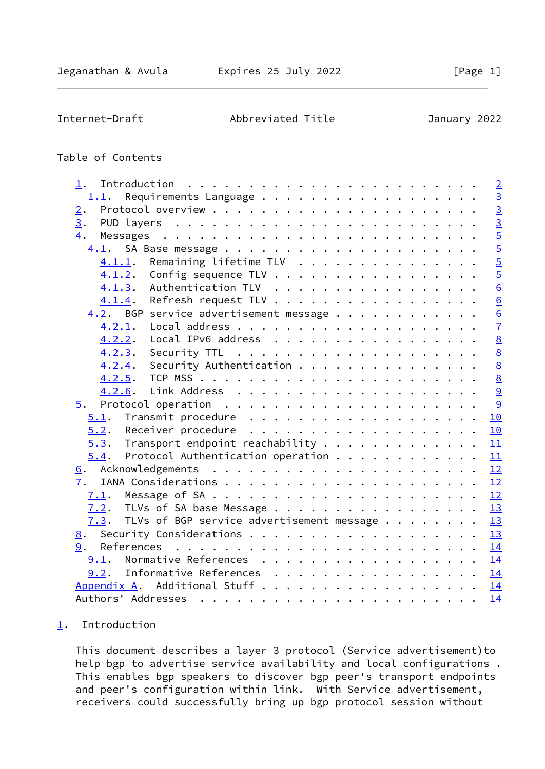<span id="page-1-1"></span>Internet-Draft Abbreviated Title January 2022

# Table of Contents

| 1.                                                |  |  |  | $\overline{2}$  |
|---------------------------------------------------|--|--|--|-----------------|
| 1.1.                                              |  |  |  | $\overline{3}$  |
| 2.                                                |  |  |  | $\frac{1}{3}$   |
| 3.                                                |  |  |  |                 |
| 4.                                                |  |  |  | $\overline{5}$  |
|                                                   |  |  |  | $\frac{5}{5}$   |
| Remaining lifetime TLV<br>4.1.1.                  |  |  |  |                 |
| Config sequence TLV<br>4.1.2.                     |  |  |  |                 |
| $4.1.3$ . Authentication TLV                      |  |  |  | $\underline{6}$ |
| Refresh request TLV<br>4.1.4.                     |  |  |  |                 |
| $4.2$ . BGP service advertisement message         |  |  |  | $\frac{6}{6}$   |
| 4.2.1.                                            |  |  |  |                 |
| Local IPv6 address<br>4.2.2.                      |  |  |  | $\underline{8}$ |
| 4.2.3.                                            |  |  |  | $\overline{8}$  |
| Security Authentication<br>4.2.4.                 |  |  |  | $\underline{8}$ |
|                                                   |  |  |  | $\underline{8}$ |
| 4.2.6.                                            |  |  |  | 9               |
| 5.                                                |  |  |  | $\overline{9}$  |
|                                                   |  |  |  | 10              |
|                                                   |  |  |  | 10              |
| $5.3$ . Transport endpoint reachability 11        |  |  |  |                 |
| Protocol Authentication operation<br>5.4.         |  |  |  | 11              |
|                                                   |  |  |  |                 |
| 7.                                                |  |  |  |                 |
|                                                   |  |  |  | 12              |
| 7.2. TLVs of SA base Message                      |  |  |  | 13              |
| TLVs of BGP service advertisement message<br>7.3. |  |  |  | 13              |
| 8.                                                |  |  |  | 13              |
| 9.                                                |  |  |  | 14              |
| Normative References<br>9.1.                      |  |  |  | 14              |
| $9.2$ . Informative References 14                 |  |  |  |                 |
| Appendix A.                                       |  |  |  |                 |
|                                                   |  |  |  | 14              |

# <span id="page-1-0"></span>[1](#page-1-0). Introduction

 This document describes a layer 3 protocol (Service advertisement)to help bgp to advertise service availability and local configurations . This enables bgp speakers to discover bgp peer's transport endpoints and peer's configuration within link. With Service advertisement, receivers could successfully bring up bgp protocol session without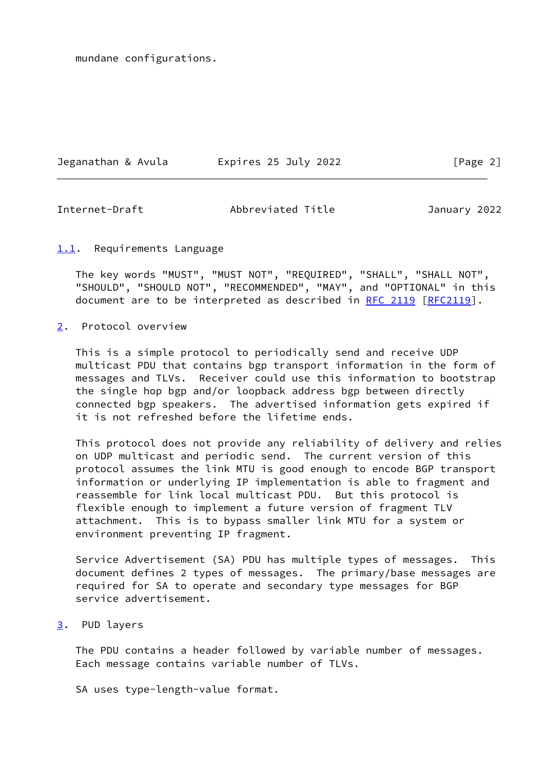mundane configurations.

Jeganathan & Avula Expires 25 July 2022 [Page 2]

<span id="page-2-1"></span>

Internet-Draft Abbreviated Title January 2022

### <span id="page-2-0"></span>[1.1](#page-2-0). Requirements Language

 The key words "MUST", "MUST NOT", "REQUIRED", "SHALL", "SHALL NOT", "SHOULD", "SHOULD NOT", "RECOMMENDED", "MAY", and "OPTIONAL" in this document are to be interpreted as described in [RFC 2119 \[RFC2119](https://datatracker.ietf.org/doc/pdf/rfc2119)].

<span id="page-2-2"></span>[2](#page-2-2). Protocol overview

 This is a simple protocol to periodically send and receive UDP multicast PDU that contains bgp transport information in the form of messages and TLVs. Receiver could use this information to bootstrap the single hop bgp and/or loopback address bgp between directly connected bgp speakers. The advertised information gets expired if it is not refreshed before the lifetime ends.

 This protocol does not provide any reliability of delivery and relies on UDP multicast and periodic send. The current version of this protocol assumes the link MTU is good enough to encode BGP transport information or underlying IP implementation is able to fragment and reassemble for link local multicast PDU. But this protocol is flexible enough to implement a future version of fragment TLV attachment. This is to bypass smaller link MTU for a system or environment preventing IP fragment.

 Service Advertisement (SA) PDU has multiple types of messages. This document defines 2 types of messages. The primary/base messages are required for SA to operate and secondary type messages for BGP service advertisement.

<span id="page-2-3"></span>[3](#page-2-3). PUD layers

 The PDU contains a header followed by variable number of messages. Each message contains variable number of TLVs.

SA uses type-length-value format.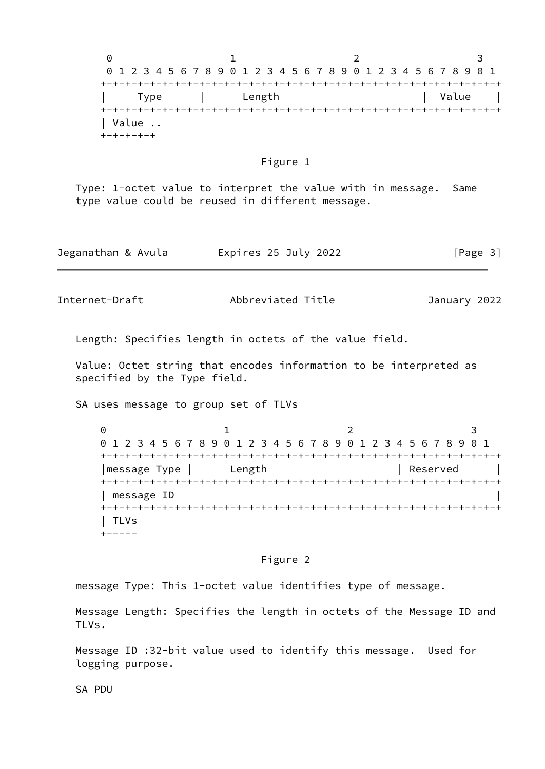$0$  1 2 3 0 1 2 3 4 5 6 7 8 9 0 1 2 3 4 5 6 7 8 9 0 1 2 3 4 5 6 7 8 9 0 1 +-+-+-+-+-+-+-+-+-+-+-+-+-+-+-+-+-+-+-+-+-+-+-+-+-+-+-+-+-+-+-+-+ Type | Length | Value | +-+-+-+-+-+-+-+-+-+-+-+-+-+-+-+-+-+-+-+-+-+-+-+-+-+-+-+-+-+-+-+-+ | Value .. +-+-+-+-+

#### Figure 1

 Type: 1-octet value to interpret the value with in message. Same type value could be reused in different message.

| Jeganathan & Avula | Expires 25 July 2022 | [Page 3] |
|--------------------|----------------------|----------|
|--------------------|----------------------|----------|

Internet-Draft Abbreviated Title January 2022

Length: Specifies length in octets of the value field.

 Value: Octet string that encodes information to be interpreted as specified by the Type field.

SA uses message to group set of TLVs

0 1 2 3 0 1 2 3 4 5 6 7 8 9 0 1 2 3 4 5 6 7 8 9 0 1 2 3 4 5 6 7 8 9 0 1 +-+-+-+-+-+-+-+-+-+-+-+-+-+-+-+-+-+-+-+-+-+-+-+-+-+-+-+-+-+-+-+-+ | message Type | Length | Reserved | +-+-+-+-+-+-+-+-+-+-+-+-+-+-+-+-+-+-+-+-+-+-+-+-+-+-+-+-+-+-+-+-+ | message ID | +-+-+-+-+-+-+-+-+-+-+-+-+-+-+-+-+-+-+-+-+-+-+-+-+-+-+-+-+-+-+-+-+ | TLVs  $+ - - - - -$ 

# Figure 2

message Type: This 1-octet value identifies type of message.

 Message Length: Specifies the length in octets of the Message ID and TLVs.

 Message ID :32-bit value used to identify this message. Used for logging purpose.

SA PDU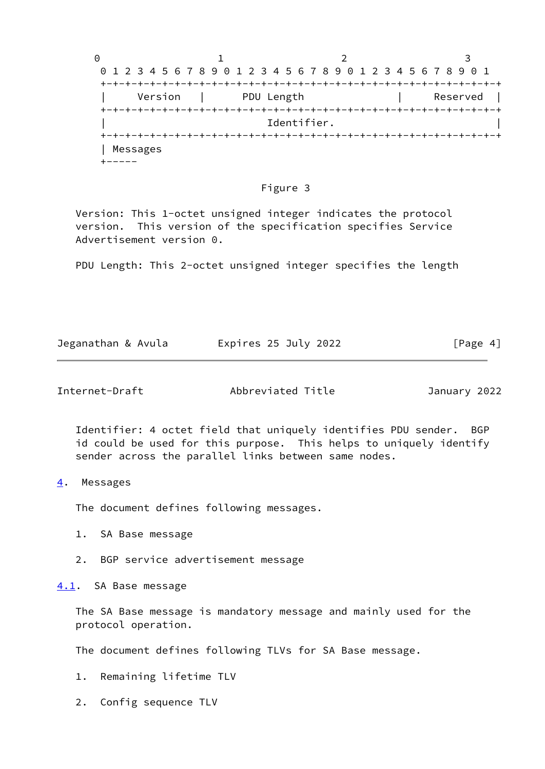

#### Figure 3

 Version: This 1-octet unsigned integer indicates the protocol version. This version of the specification specifies Service Advertisement version 0.

PDU Length: This 2-octet unsigned integer specifies the length

| Jeganathan & Avula | Expires 25 July 2022 | [Page 4] |
|--------------------|----------------------|----------|
|                    |                      |          |

<span id="page-4-1"></span>Internet-Draft Abbreviated Title January 2022

 Identifier: 4 octet field that uniquely identifies PDU sender. BGP id could be used for this purpose. This helps to uniquely identify sender across the parallel links between same nodes.

<span id="page-4-0"></span>[4](#page-4-0). Messages

The document defines following messages.

- 1. SA Base message
- 2. BGP service advertisement message

<span id="page-4-2"></span>[4.1](#page-4-2). SA Base message

 The SA Base message is mandatory message and mainly used for the protocol operation.

The document defines following TLVs for SA Base message.

- 1. Remaining lifetime TLV
- 2. Config sequence TLV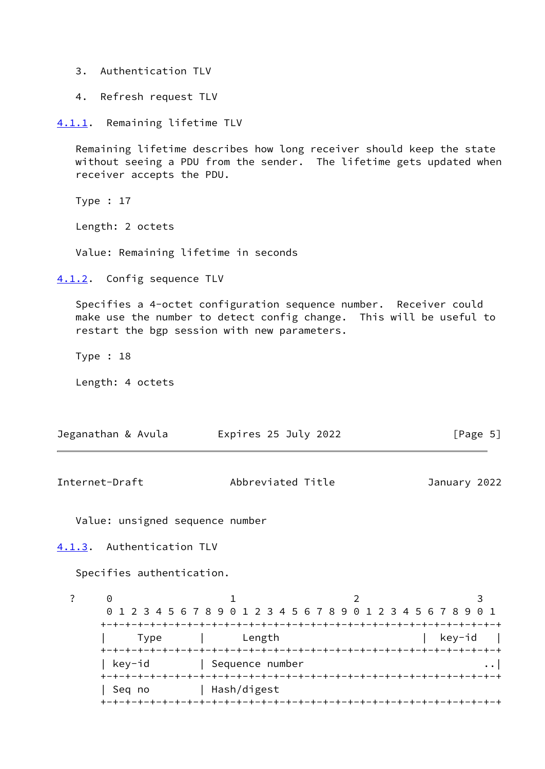- 3. Authentication TLV
- 4. Refresh request TLV

<span id="page-5-0"></span>[4.1.1](#page-5-0). Remaining lifetime TLV

 Remaining lifetime describes how long receiver should keep the state without seeing a PDU from the sender. The lifetime gets updated when receiver accepts the PDU.

Type : 17

Length: 2 octets

Value: Remaining lifetime in seconds

<span id="page-5-1"></span>[4.1.2](#page-5-1). Config sequence TLV

 Specifies a 4-octet configuration sequence number. Receiver could make use the number to detect config change. This will be useful to restart the bgp session with new parameters.

Type : 18

Length: 4 octets

| Jeganathan & Avula | Expires 25 July 2022 | [Page 5] |
|--------------------|----------------------|----------|
|                    |                      |          |

<span id="page-5-3"></span>Internet-Draft Abbreviated Title January 2022

Value: unsigned sequence number

<span id="page-5-2"></span>[4.1.3](#page-5-2). Authentication TLV

Specifies authentication.

? 0 1 2 3 0 1 2 3 4 5 6 7 8 9 0 1 2 3 4 5 6 7 8 9 0 1 2 3 4 5 6 7 8 9 0 1 +-+-+-+-+-+-+-+-+-+-+-+-+-+-+-+-+-+-+-+-+-+-+-+-+-+-+-+-+-+-+-+-+ Type | Length | key-id | +-+-+-+-+-+-+-+-+-+-+-+-+-+-+-+-+-+-+-+-+-+-+-+-+-+-+-+-+-+-+-+-+ | key-id | Sequence number ..| +-+-+-+-+-+-+-+-+-+-+-+-+-+-+-+-+-+-+-+-+-+-+-+-+-+-+-+-+-+-+-+-+ | Seq no | Hash/digest +-+-+-+-+-+-+-+-+-+-+-+-+-+-+-+-+-+-+-+-+-+-+-+-+-+-+-+-+-+-+-+-+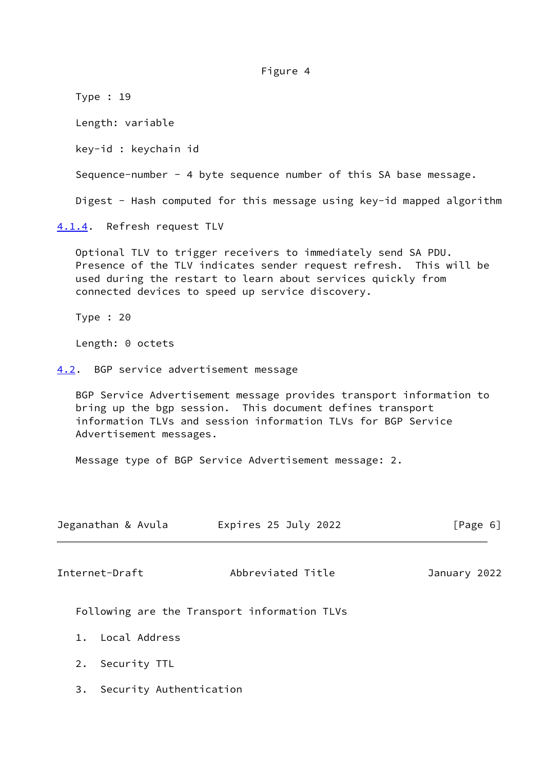Figure 4

<span id="page-6-0"></span> Type : 19 Length: variable key-id : keychain id Sequence-number - 4 byte sequence number of this SA base message. Digest - Hash computed for this message using key-id mapped algorithm [4.1.4](#page-6-0). Refresh request TLV Optional TLV to trigger receivers to immediately send SA PDU. Presence of the TLV indicates sender request refresh. This will be used during the restart to learn about services quickly from connected devices to speed up service discovery. Type : 20 Length: 0 octets [4.2](#page-6-1). BGP service advertisement message BGP Service Advertisement message provides transport information to bring up the bgp session. This document defines transport information TLVs and session information TLVs for BGP Service

Message type of BGP Service Advertisement message: 2.

<span id="page-6-2"></span>

| Jeganathan & Avula    | Expires 25 July 2022                         | [Page 6]     |
|-----------------------|----------------------------------------------|--------------|
| Internet-Draft        | Abbreviated Title                            | January 2022 |
|                       | Following are the Transport information TLVs |              |
| - Local Address<br>1. |                                              |              |
| Security TTL<br>2.    |                                              |              |

3. Security Authentication

<span id="page-6-1"></span>Advertisement messages.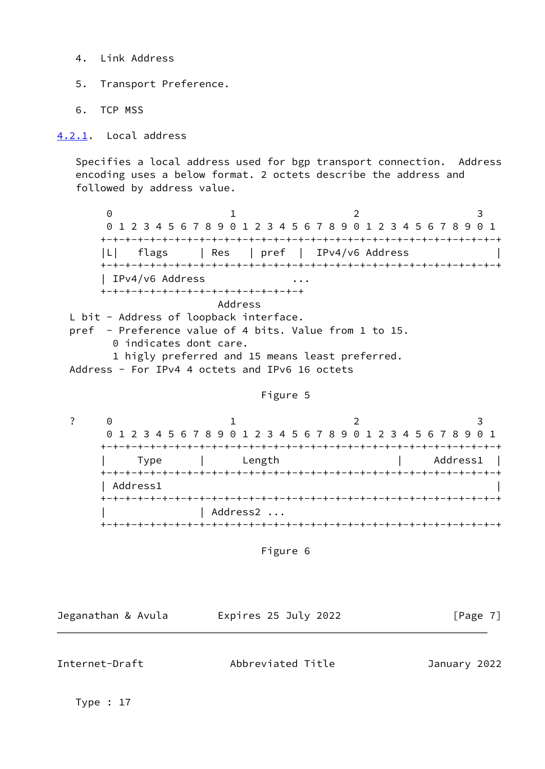- 4. Link Address
- 5. Transport Preference.
- 6. TCP MSS

<span id="page-7-0"></span>[4.2.1](#page-7-0). Local address

 Specifies a local address used for bgp transport connection. Address encoding uses a below format. 2 octets describe the address and followed by address value.

 $0$  1 2 3 0 1 2 3 4 5 6 7 8 9 0 1 2 3 4 5 6 7 8 9 0 1 2 3 4 5 6 7 8 9 0 1 +-+-+-+-+-+-+-+-+-+-+-+-+-+-+-+-+-+-+-+-+-+-+-+-+-+-+-+-+-+-+-+-+ |L| flags | Res | pref | IPv4/v6 Address | +-+-+-+-+-+-+-+-+-+-+-+-+-+-+-+-+-+-+-+-+-+-+-+-+-+-+-+-+-+-+-+-+ | IPv4/v6 Address ... +-+-+-+-+-+-+-+-+-+-+-+-+-+-+-+-+ Address L bit - Address of loopback interface. pref - Preference value of 4 bits. Value from 1 to 15.

0 indicates dont care.

 1 higly preferred and 15 means least preferred. Address - For IPv4 4 octets and IPv6 16 octets

### Figure 5

? 0 1 2 3 0 1 2 3 4 5 6 7 8 9 0 1 2 3 4 5 6 7 8 9 0 1 2 3 4 5 6 7 8 9 0 1 +-+-+-+-+-+-+-+-+-+-+-+-+-+-+-+-+-+-+-+-+-+-+-+-+-+-+-+-+-+-+-+-+ Type | Length | Address1 | +-+-+-+-+-+-+-+-+-+-+-+-+-+-+-+-+-+-+-+-+-+-+-+-+-+-+-+-+-+-+-+-+ | Address1 | +-+-+-+-+-+-+-+-+-+-+-+-+-+-+-+-+-+-+-+-+-+-+-+-+-+-+-+-+-+-+-+-+ | Address2 ... +-+-+-+-+-+-+-+-+-+-+-+-+-+-+-+-+-+-+-+-+-+-+-+-+-+-+-+-+-+-+-+-+

Figure 6

Jeganathan & Avula Expires 25 July 2022 [Page 7]

<span id="page-7-1"></span>Internet-Draft Abbreviated Title January 2022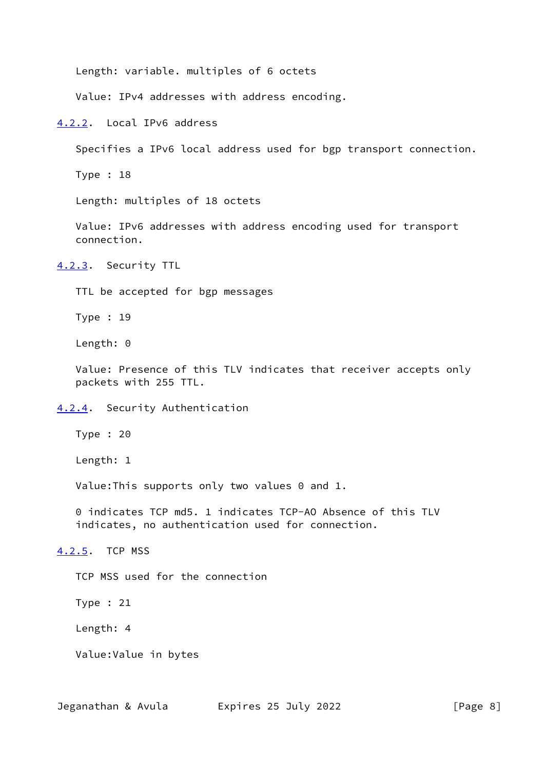Length: variable. multiples of 6 octets

Value: IPv4 addresses with address encoding.

<span id="page-8-0"></span>[4.2.2](#page-8-0). Local IPv6 address

Specifies a IPv6 local address used for bgp transport connection.

Type : 18

Length: multiples of 18 octets

 Value: IPv6 addresses with address encoding used for transport connection.

<span id="page-8-1"></span>[4.2.3](#page-8-1). Security TTL

TTL be accepted for bgp messages

Type : 19

Length: 0

 Value: Presence of this TLV indicates that receiver accepts only packets with 255 TTL.

<span id="page-8-2"></span>[4.2.4](#page-8-2). Security Authentication

Type : 20

Length: 1

Value:This supports only two values 0 and 1.

 0 indicates TCP md5. 1 indicates TCP-AO Absence of this TLV indicates, no authentication used for connection.

<span id="page-8-3"></span>[4.2.5](#page-8-3). TCP MSS

TCP MSS used for the connection

Type : 21

Length: 4

Value:Value in bytes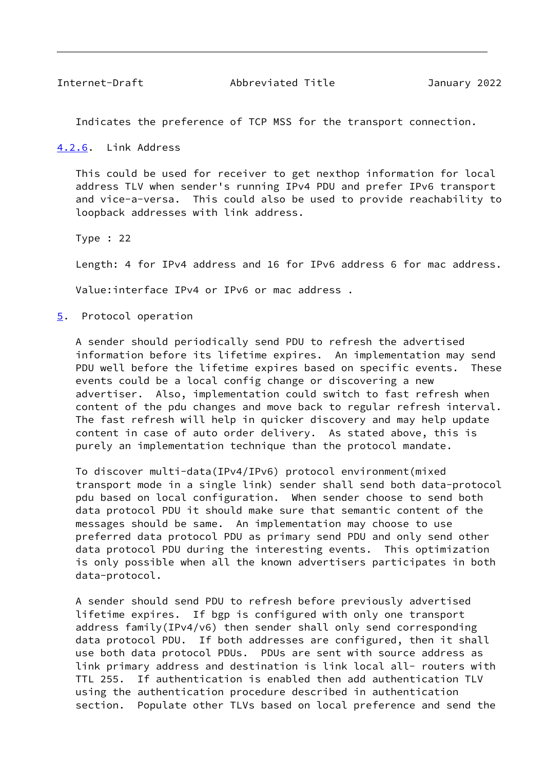<span id="page-9-1"></span>Indicates the preference of TCP MSS for the transport connection.

<span id="page-9-0"></span>[4.2.6](#page-9-0). Link Address

 This could be used for receiver to get nexthop information for local address TLV when sender's running IPv4 PDU and prefer IPv6 transport and vice-a-versa. This could also be used to provide reachability to loopback addresses with link address.

Type : 22

Length: 4 for IPv4 address and 16 for IPv6 address 6 for mac address.

Value:interface IPv4 or IPv6 or mac address .

<span id="page-9-2"></span>[5](#page-9-2). Protocol operation

 A sender should periodically send PDU to refresh the advertised information before its lifetime expires. An implementation may send PDU well before the lifetime expires based on specific events. These events could be a local config change or discovering a new advertiser. Also, implementation could switch to fast refresh when content of the pdu changes and move back to regular refresh interval. The fast refresh will help in quicker discovery and may help update content in case of auto order delivery. As stated above, this is purely an implementation technique than the protocol mandate.

 To discover multi-data(IPv4/IPv6) protocol environment(mixed transport mode in a single link) sender shall send both data-protocol pdu based on local configuration. When sender choose to send both data protocol PDU it should make sure that semantic content of the messages should be same. An implementation may choose to use preferred data protocol PDU as primary send PDU and only send other data protocol PDU during the interesting events. This optimization is only possible when all the known advertisers participates in both data-protocol.

 A sender should send PDU to refresh before previously advertised lifetime expires. If bgp is configured with only one transport address family(IPv4/v6) then sender shall only send corresponding data protocol PDU. If both addresses are configured, then it shall use both data protocol PDUs. PDUs are sent with source address as link primary address and destination is link local all- routers with TTL 255. If authentication is enabled then add authentication TLV using the authentication procedure described in authentication section. Populate other TLVs based on local preference and send the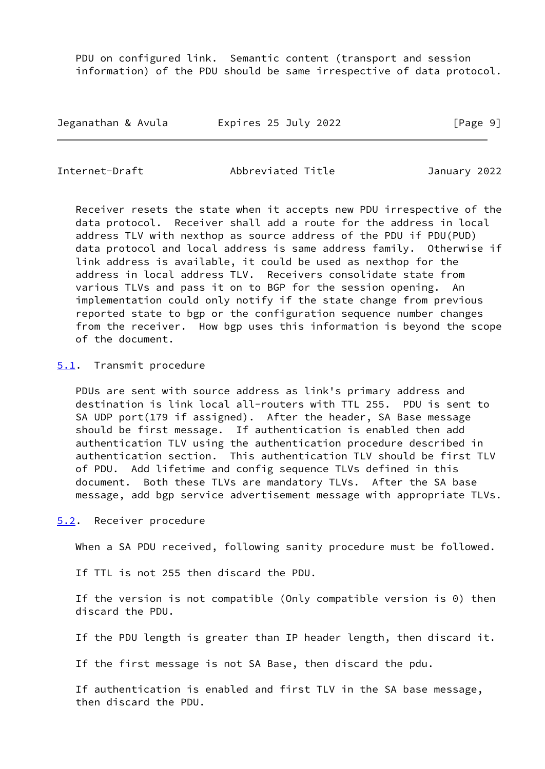PDU on configured link. Semantic content (transport and session information) of the PDU should be same irrespective of data protocol.

| Jeganathan & Avula | Expires 25 July 2022 | [Page 9] |
|--------------------|----------------------|----------|
|--------------------|----------------------|----------|

<span id="page-10-1"></span>Internet-Draft Abbreviated Title January 2022

 Receiver resets the state when it accepts new PDU irrespective of the data protocol. Receiver shall add a route for the address in local address TLV with nexthop as source address of the PDU if PDU(PUD) data protocol and local address is same address family. Otherwise if link address is available, it could be used as nexthop for the address in local address TLV. Receivers consolidate state from various TLVs and pass it on to BGP for the session opening. An implementation could only notify if the state change from previous reported state to bgp or the configuration sequence number changes from the receiver. How bgp uses this information is beyond the scope of the document.

### <span id="page-10-0"></span>[5.1](#page-10-0). Transmit procedure

 PDUs are sent with source address as link's primary address and destination is link local all-routers with TTL 255. PDU is sent to SA UDP port(179 if assigned). After the header, SA Base message should be first message. If authentication is enabled then add authentication TLV using the authentication procedure described in authentication section. This authentication TLV should be first TLV of PDU. Add lifetime and config sequence TLVs defined in this document. Both these TLVs are mandatory TLVs. After the SA base message, add bgp service advertisement message with appropriate TLVs.

<span id="page-10-2"></span>[5.2](#page-10-2). Receiver procedure

When a SA PDU received, following sanity procedure must be followed.

If TTL is not 255 then discard the PDU.

 If the version is not compatible (Only compatible version is 0) then discard the PDU.

If the PDU length is greater than IP header length, then discard it.

If the first message is not SA Base, then discard the pdu.

 If authentication is enabled and first TLV in the SA base message, then discard the PDU.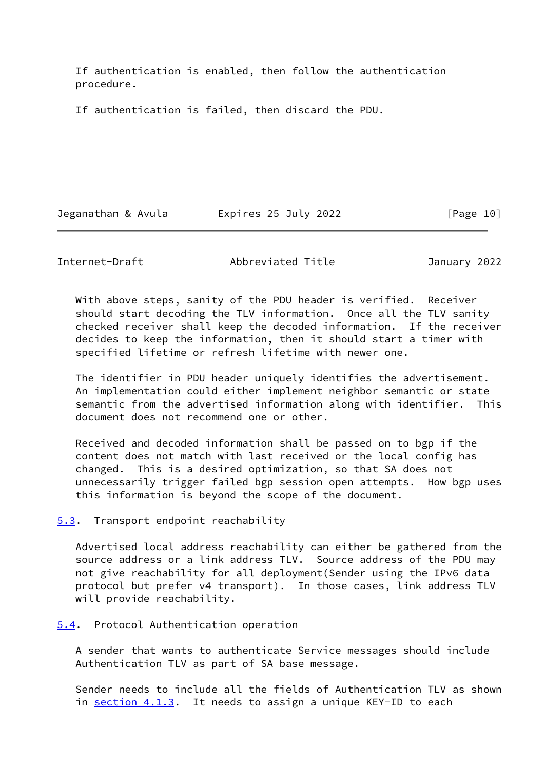If authentication is enabled, then follow the authentication procedure.

If authentication is failed, then discard the PDU.

Jeganathan & Avula Expires 25 July 2022 [Page 10]

<span id="page-11-1"></span>Internet-Draft Abbreviated Title January 2022

 With above steps, sanity of the PDU header is verified. Receiver should start decoding the TLV information. Once all the TLV sanity checked receiver shall keep the decoded information. If the receiver decides to keep the information, then it should start a timer with specified lifetime or refresh lifetime with newer one.

 The identifier in PDU header uniquely identifies the advertisement. An implementation could either implement neighbor semantic or state semantic from the advertised information along with identifier. This document does not recommend one or other.

 Received and decoded information shall be passed on to bgp if the content does not match with last received or the local config has changed. This is a desired optimization, so that SA does not unnecessarily trigger failed bgp session open attempts. How bgp uses this information is beyond the scope of the document.

<span id="page-11-0"></span>[5.3](#page-11-0). Transport endpoint reachability

 Advertised local address reachability can either be gathered from the source address or a link address TLV. Source address of the PDU may not give reachability for all deployment(Sender using the IPv6 data protocol but prefer v4 transport). In those cases, link address TLV will provide reachability.

<span id="page-11-2"></span>[5.4](#page-11-2). Protocol Authentication operation

 A sender that wants to authenticate Service messages should include Authentication TLV as part of SA base message.

 Sender needs to include all the fields of Authentication TLV as shown in [section 4.1.3.](#page-5-2) It needs to assign a unique KEY-ID to each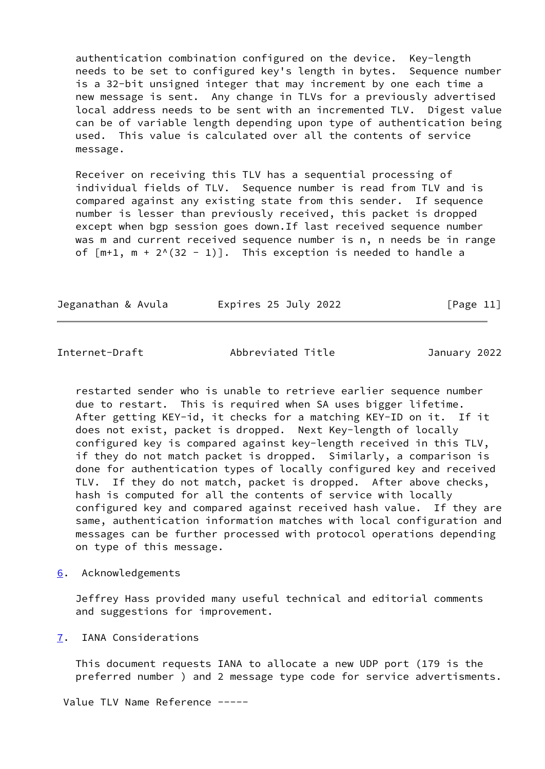authentication combination configured on the device. Key-length needs to be set to configured key's length in bytes. Sequence number is a 32-bit unsigned integer that may increment by one each time a new message is sent. Any change in TLVs for a previously advertised local address needs to be sent with an incremented TLV. Digest value can be of variable length depending upon type of authentication being used. This value is calculated over all the contents of service message.

 Receiver on receiving this TLV has a sequential processing of individual fields of TLV. Sequence number is read from TLV and is compared against any existing state from this sender. If sequence number is lesser than previously received, this packet is dropped except when bgp session goes down.If last received sequence number was m and current received sequence number is n, n needs be in range of  $[m+1, m + 2<sup>0</sup>(32 - 1)]$ . This exception is needed to handle a

| Jeganathan & Avula | Expires 25 July 2022 | [Page 11] |
|--------------------|----------------------|-----------|
|--------------------|----------------------|-----------|

<span id="page-12-1"></span>Internet-Draft Abbreviated Title January 2022

 restarted sender who is unable to retrieve earlier sequence number due to restart. This is required when SA uses bigger lifetime. After getting KEY-id, it checks for a matching KEY-ID on it. If it does not exist, packet is dropped. Next Key-length of locally configured key is compared against key-length received in this TLV, if they do not match packet is dropped. Similarly, a comparison is done for authentication types of locally configured key and received TLV. If they do not match, packet is dropped. After above checks, hash is computed for all the contents of service with locally configured key and compared against received hash value. If they are same, authentication information matches with local configuration and messages can be further processed with protocol operations depending on type of this message.

<span id="page-12-0"></span>[6](#page-12-0). Acknowledgements

 Jeffrey Hass provided many useful technical and editorial comments and suggestions for improvement.

<span id="page-12-2"></span>[7](#page-12-2). IANA Considerations

 This document requests IANA to allocate a new UDP port (179 is the preferred number ) and 2 message type code for service advertisments.

Value TLV Name Reference -----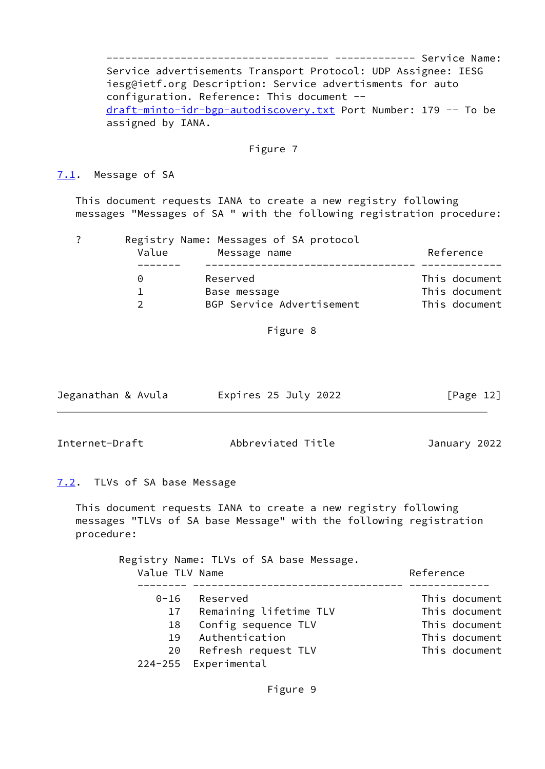------------------------------------ ------------- Service Name: Service advertisements Transport Protocol: UDP Assignee: IESG iesg@ietf.org Description: Service advertisments for auto configuration. Reference: This document - [draft-minto-idr-bgp-autodiscovery.txt](https://datatracker.ietf.org/doc/pdf/draft-minto-idr-bgp-autodiscovery.txt) Port Number: 179 -- To be assigned by IANA.

### Figure 7

#### <span id="page-13-0"></span>[7.1](#page-13-0). Message of SA

 This document requests IANA to create a new registry following messages "Messages of SA " with the following registration procedure:

? Registry Name: Messages of SA protocol

| Value    | Message name              | Reference     |
|----------|---------------------------|---------------|
| $\Omega$ | Reserved                  | This document |
|          | Base message              | This document |
|          | BGP Service Advertisement | This document |

Figure 8

| Jeganathan & Avula | Expires 25 July 2022 | [Page 12] |
|--------------------|----------------------|-----------|
|                    |                      |           |

<span id="page-13-2"></span>Internet-Draft Abbreviated Title January 2022

# <span id="page-13-1"></span>[7.2](#page-13-1). TLVs of SA base Message

 This document requests IANA to create a new registry following messages "TLVs of SA base Message" with the following registration procedure:

> Registry Name: TLVs of SA base Message. Value TLV Name and the settlement of the Reference -------- ---------------------------------- ------------- 0-16 Reserved This document 17 Remaining lifetime TLV This document 18 Config sequence TLV This document 19 Authentication This document 20 Refresh request TLV This document 224-255 Experimental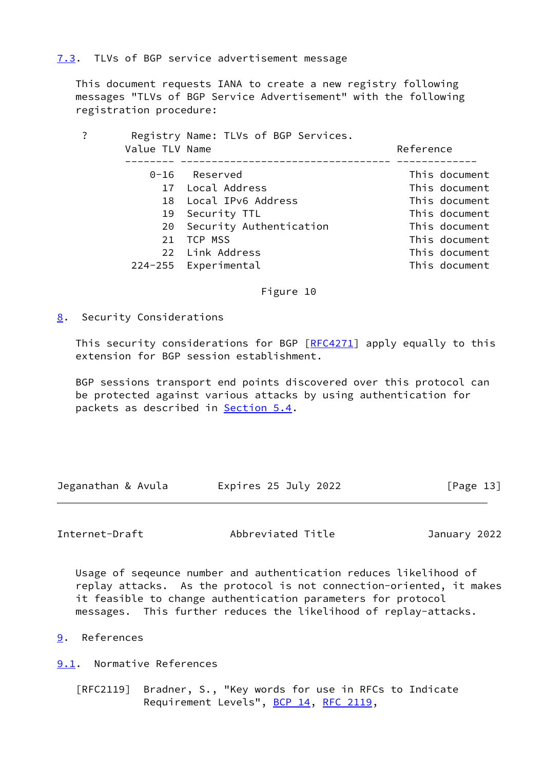# <span id="page-14-0"></span>[7.3](#page-14-0). TLVs of BGP service advertisement message

 This document requests IANA to create a new registry following messages "TLVs of BGP Service Advertisement" with the following registration procedure:

| ? | Value TLV Name | Registry Name: TLVs of BGP Services. | Reference     |  |
|---|----------------|--------------------------------------|---------------|--|
|   |                | $0-16$ Reserved                      | This document |  |
|   |                | 17 Local Address                     | This document |  |
|   |                | 18 Local IPv6 Address                | This document |  |
|   |                | 19 Security TTL                      | This document |  |
|   |                | 20 Security Authentication           | This document |  |
|   | 21             | TCP MSS                              | This document |  |
|   |                | 22 Link Address                      | This document |  |
|   |                | 224-255 Experimental                 | This document |  |
|   |                |                                      |               |  |

Figure 10

<span id="page-14-1"></span>[8](#page-14-1). Security Considerations

This security considerations for BGP [\[RFC4271](https://datatracker.ietf.org/doc/pdf/rfc4271)] apply equally to this extension for BGP session establishment.

 BGP sessions transport end points discovered over this protocol can be protected against various attacks by using authentication for packets as described in [Section 5.4](#page-11-2).

| Jeganathan & Avula | Expires 25 July 2022 | [Page 13] |
|--------------------|----------------------|-----------|
|--------------------|----------------------|-----------|

<span id="page-14-3"></span>Internet-Draft Abbreviated Title January 2022

 Usage of seqeunce number and authentication reduces likelihood of replay attacks. As the protocol is not connection-oriented, it makes it feasible to change authentication parameters for protocol messages. This further reduces the likelihood of replay-attacks.

<span id="page-14-2"></span>[9](#page-14-2). References

<span id="page-14-4"></span>[9.1](#page-14-4). Normative References

 [RFC2119] Bradner, S., "Key words for use in RFCs to Indicate Requirement Levels", [BCP 14](https://datatracker.ietf.org/doc/pdf/bcp14), [RFC 2119](https://datatracker.ietf.org/doc/pdf/rfc2119),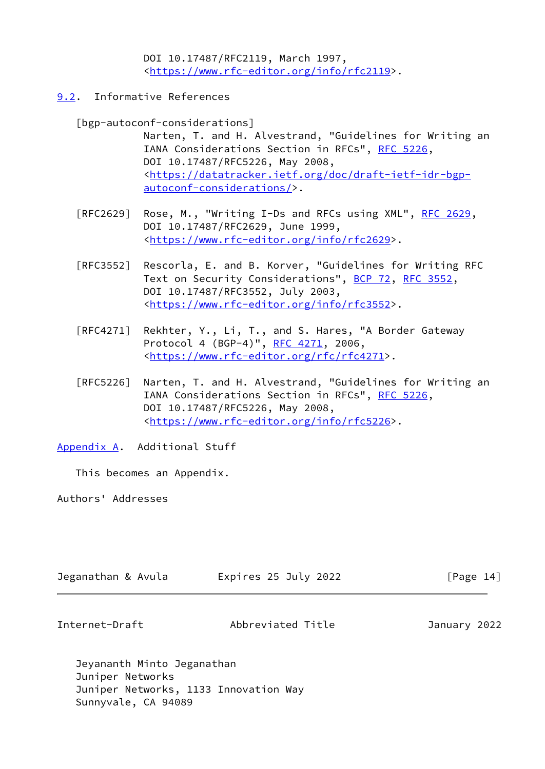DOI 10.17487/RFC2119, March 1997, <[https://www.rfc-editor.org/info/rfc2119>](https://www.rfc-editor.org/info/rfc2119).

<span id="page-15-0"></span>[9.2](#page-15-0). Informative References

[bgp-autoconf-considerations]

 Narten, T. and H. Alvestrand, "Guidelines for Writing an IANA Considerations Section in RFCs", [RFC 5226](https://datatracker.ietf.org/doc/pdf/rfc5226), DOI 10.17487/RFC5226, May 2008, <[https://datatracker.ietf.org/doc/draft-ietf-idr-bgp](https://datatracker.ietf.org/doc/draft-ietf-idr-bgp-autoconf-considerations/) [autoconf-considerations/>](https://datatracker.ietf.org/doc/draft-ietf-idr-bgp-autoconf-considerations/).

- [RFC2629] Rose, M., "Writing I-Ds and RFCs using XML", [RFC 2629](https://datatracker.ietf.org/doc/pdf/rfc2629), DOI 10.17487/RFC2629, June 1999, <[https://www.rfc-editor.org/info/rfc2629>](https://www.rfc-editor.org/info/rfc2629).
- [RFC3552] Rescorla, E. and B. Korver, "Guidelines for Writing RFC Text on Security Considerations", [BCP 72](https://datatracker.ietf.org/doc/pdf/bcp72), [RFC 3552](https://datatracker.ietf.org/doc/pdf/rfc3552), DOI 10.17487/RFC3552, July 2003, <[https://www.rfc-editor.org/info/rfc3552>](https://www.rfc-editor.org/info/rfc3552).
- [RFC4271] Rekhter, Y., Li, T., and S. Hares, "A Border Gateway Protocol 4 (BGP-4)", [RFC 4271](https://datatracker.ietf.org/doc/pdf/rfc4271), 2006, <<https://www.rfc-editor.org/rfc/rfc4271>>.
- [RFC5226] Narten, T. and H. Alvestrand, "Guidelines for Writing an IANA Considerations Section in RFCs", [RFC 5226](https://datatracker.ietf.org/doc/pdf/rfc5226), DOI 10.17487/RFC5226, May 2008, <[https://www.rfc-editor.org/info/rfc5226>](https://www.rfc-editor.org/info/rfc5226).

<span id="page-15-1"></span>[Appendix A.](#page-15-1) Additional Stuff

This becomes an Appendix.

Authors' Addresses

| Jeganathan & Avula | Expires 25 July 2022 | [Page 14] |
|--------------------|----------------------|-----------|
|                    |                      |           |

Internet-Draft Abbreviated Title January 2022

 Jeyananth Minto Jeganathan Juniper Networks Juniper Networks, 1133 Innovation Way Sunnyvale, CA 94089